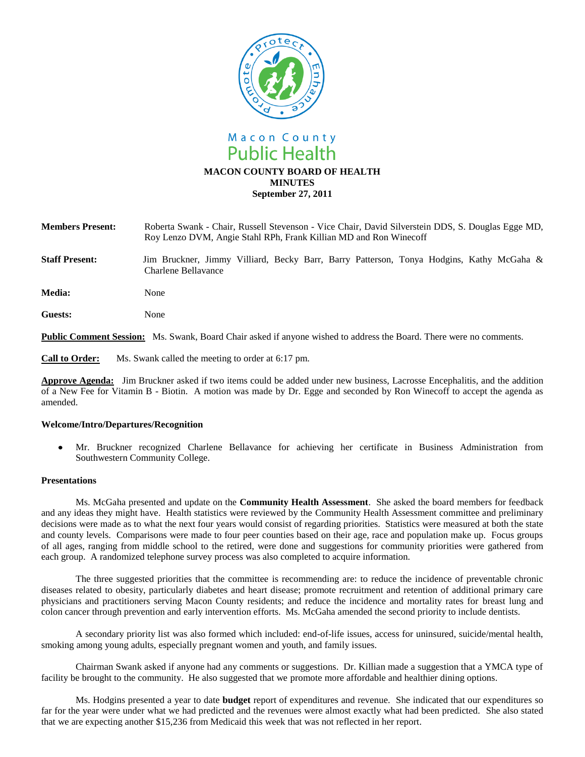

| <b>Members Present:</b> | Roberta Swank - Chair, Russell Stevenson - Vice Chair, David Silverstein DDS, S. Douglas Egge MD,<br>Roy Lenzo DVM, Angie Stahl RPh, Frank Killian MD and Ron Winecoff |
|-------------------------|------------------------------------------------------------------------------------------------------------------------------------------------------------------------|
| <b>Staff Present:</b>   | Jim Bruckner, Jimmy Villiard, Becky Barr, Barry Patterson, Tonya Hodgins, Kathy McGaha &<br>Charlene Bellavance -                                                      |

Media: None

**Guests:** None

**Public Comment Session:** Ms. Swank, Board Chair asked if anyone wished to address the Board. There were no comments.

**Call to Order:** Ms. Swank called the meeting to order at 6:17 pm.

**Approve Agenda:** Jim Bruckner asked if two items could be added under new business, Lacrosse Encephalitis, and the addition of a New Fee for Vitamin B - Biotin. A motion was made by Dr. Egge and seconded by Ron Winecoff to accept the agenda as amended.

## **Welcome/Intro/Departures/Recognition**

 $\bullet$ Mr. Bruckner recognized Charlene Bellavance for achieving her certificate in Business Administration from Southwestern Community College.

## **Presentations**

Ms. McGaha presented and update on the **Community Health Assessment**. She asked the board members for feedback and any ideas they might have. Health statistics were reviewed by the Community Health Assessment committee and preliminary decisions were made as to what the next four years would consist of regarding priorities. Statistics were measured at both the state and county levels. Comparisons were made to four peer counties based on their age, race and population make up. Focus groups of all ages, ranging from middle school to the retired, were done and suggestions for community priorities were gathered from each group. A randomized telephone survey process was also completed to acquire information.

The three suggested priorities that the committee is recommending are: to reduce the incidence of preventable chronic diseases related to obesity, particularly diabetes and heart disease; promote recruitment and retention of additional primary care physicians and practitioners serving Macon County residents; and reduce the incidence and mortality rates for breast lung and colon cancer through prevention and early intervention efforts. Ms. McGaha amended the second priority to include dentists.

A secondary priority list was also formed which included: end-of-life issues, access for uninsured, suicide/mental health, smoking among young adults, especially pregnant women and youth, and family issues.

Chairman Swank asked if anyone had any comments or suggestions. Dr. Killian made a suggestion that a YMCA type of facility be brought to the community. He also suggested that we promote more affordable and healthier dining options.

Ms. Hodgins presented a year to date **budget** report of expenditures and revenue. She indicated that our expenditures so far for the year were under what we had predicted and the revenues were almost exactly what had been predicted. She also stated that we are expecting another \$15,236 from Medicaid this week that was not reflected in her report.